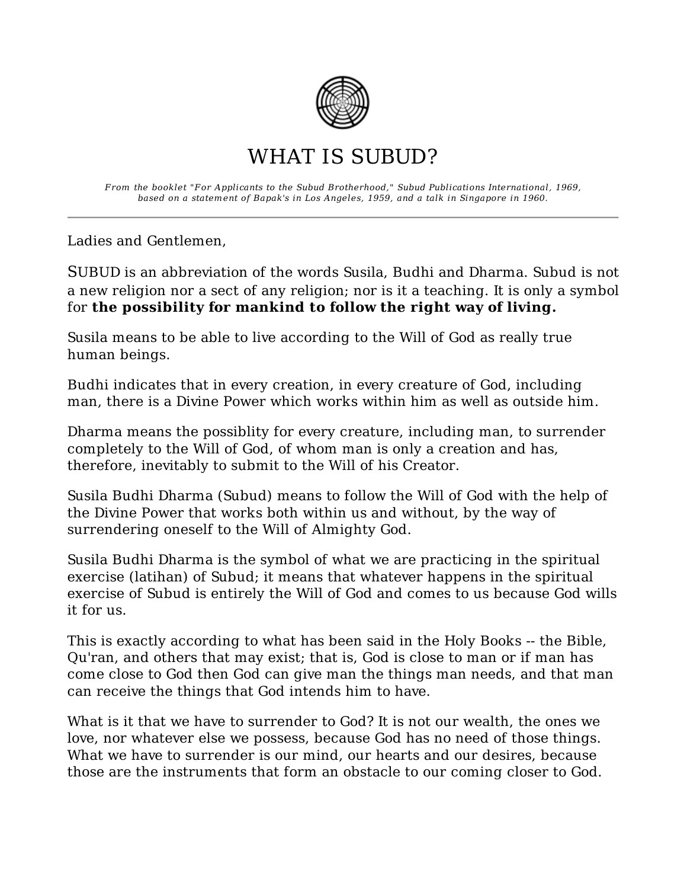

## WHAT IS SUBUD?

From the booklet "For Applicants to the Subud Brotherhood," Subud Publications International, 1969, based on a statement of Bapak's in Los Angeles, 1959, and a talk in Singapore in 1960.

Ladies and Gentlemen,

SUBUD is an abbreviation of the words Susila, Budhi and Dharma. Subud is not a new religion nor a sect of any religion; nor is it a teaching. It is only a symbol for the possibility for mankind to follow the right way of living.

Susila means to be able to live according to the Will of God as really true human beings.

Budhi indicates that in every creation, in every creature of God, including man, there is a Divine Power which works within him as well as outside him.

Dharma means the possiblity for every creature, including man, to surrender completely to the Will of God, of whom man is only a creation and has, therefore, inevitably to submit to the Will of his Creator.

Susila Budhi Dharma (Subud) means to follow the Will of God with the help of the Divine Power that works both within us and without, by the way of surrendering oneself to the Will of Almighty God.

Susila Budhi Dharma is the symbol of what we are practicing in the spiritual exercise (latihan) of Subud; it means that whatever happens in the spiritual exercise of Subud is entirely the Will of God and comes to us because God wills it for us.

This is exactly according to what has been said in the Holy Books -- the Bible, Qu'ran, and others that may exist; that is, God is close to man or if man has come close to God then God can give man the things man needs, and that man can receive the things that God intends him to have.

What is it that we have to surrender to God? It is not our wealth, the ones we love, nor whatever else we possess, because God has no need of those things. What we have to surrender is our mind, our hearts and our desires, because those are the instruments that form an obstacle to our coming closer to God.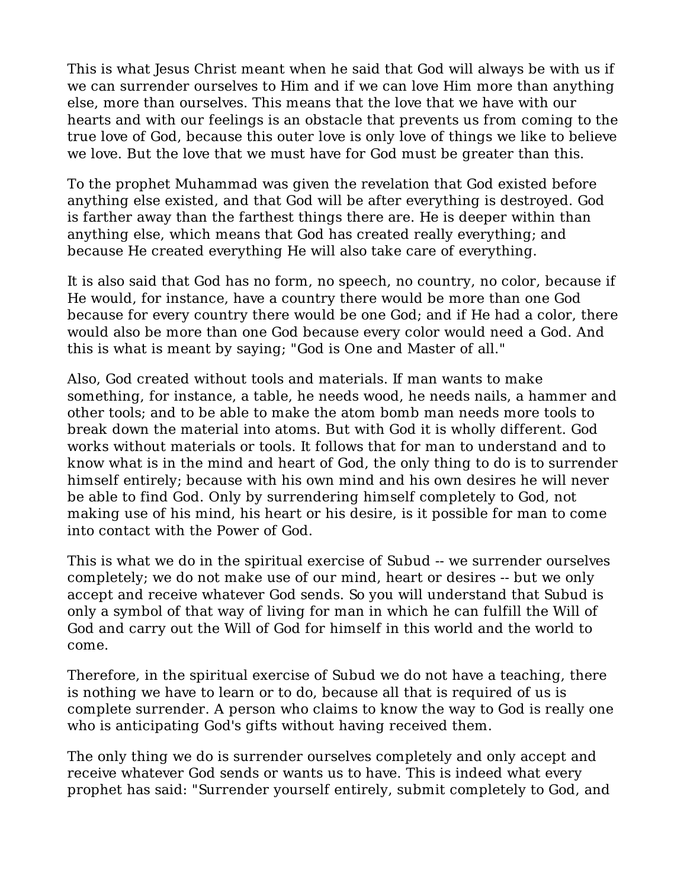This is what Jesus Christ meant when he said that God will always be with us if we can surrender ourselves to Him and if we can love Him more than anything else, more than ourselves. This means that the love that we have with our hearts and with our feelings is an obstacle that prevents us from coming to the true love of God, because this outer love is only love of things we like to believe we love. But the love that we must have for God must be greater than this.

To the prophet Muhammad was given the revelation that God existed before anything else existed, and that God will be after everything is destroyed. God is farther away than the farthest things there are. He is deeper within than anything else, which means that God has created really everything; and because He created everything He will also take care of everything.

It is also said that God has no form, no speech, no country, no color, because if He would, for instance, have a country there would be more than one God because for every country there would be one God; and if He had a color, there would also be more than one God because every color would need a God. And this is what is meant by saying; "God is One and Master of all."

Also, God created without tools and materials. If man wants to make something, for instance, a table, he needs wood, he needs nails, a hammer and other tools; and to be able to make the atom bomb man needs more tools to break down the material into atoms. But with God it is wholly different. God works without materials or tools. It follows that for man to understand and to know what is in the mind and heart of God, the only thing to do is to surrender himself entirely; because with his own mind and his own desires he will never be able to find God. Only by surrendering himself completely to God, not making use of his mind, his heart or his desire, is it possible for man to come into contact with the Power of God.

This is what we do in the spiritual exercise of Subud -- we surrender ourselves completely; we do not make use of our mind, heart or desires -- but we only accept and receive whatever God sends. So you will understand that Subud is only a symbol of that way of living for man in which he can fulfill the Will of God and carry out the Will of God for himself in this world and the world to come.

Therefore, in the spiritual exercise of Subud we do not have a teaching, there is nothing we have to learn or to do, because all that is required of us is complete surrender. A person who claims to know the way to God is really one who is anticipating God's gifts without having received them.

The only thing we do is surrender ourselves completely and only accept and receive whatever God sends or wants us to have. This is indeed what every prophet has said: "Surrender yourself entirely, submit completely to God, and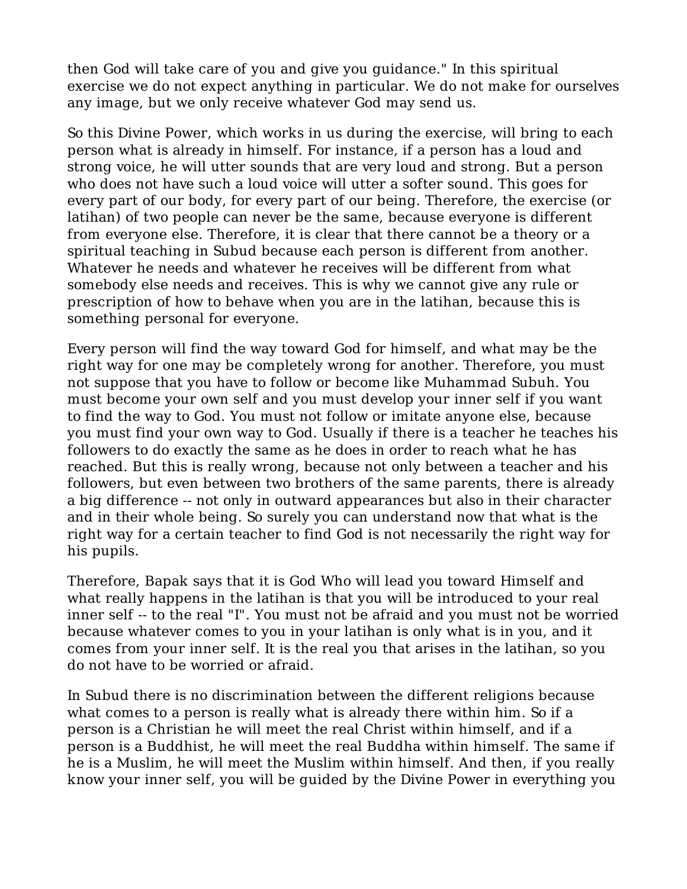then God will take care of you and give you guidance." In this spiritual exercise we do not expect anything in particular. We do not make for ourselves any image, but we only receive whatever God may send us.

So this Divine Power, which works in us during the exercise, will bring to each person what is already in himself. For instance, if a person has a loud and strong voice, he will utter sounds that are very loud and strong. But a person who does not have such a loud voice will utter a softer sound. This goes for every part of our body, for every part of our being. Therefore, the exercise (or latihan) of two people can never be the same, because everyone is different from everyone else. Therefore, it is clear that there cannot be a theory or a spiritual teaching in Subud because each person is different from another. Whatever he needs and whatever he receives will be different from what somebody else needs and receives. This is why we cannot give any rule or prescription of how to behave when you are in the latihan, because this is something personal for everyone.

Every person will find the way toward God for himself, and what may be the right way for one may be completely wrong for another. Therefore, you must not suppose that you have to follow or become like Muhammad Subuh. You must become your own self and you must develop your inner self if you want to find the way to God. You must not follow or imitate anyone else, because you must find your own way to God. Usually if there is a teacher he teaches his followers to do exactly the same as he does in order to reach what he has reached. But this is really wrong, because not only between a teacher and his followers, but even between two brothers of the same parents, there is already a big difference -- not only in outward appearances but also in their character and in their whole being. So surely you can understand now that what is the right way for a certain teacher to find God is not necessarily the right way for his pupils.

Therefore, Bapak says that it is God Who will lead you toward Himself and what really happens in the latihan is that you will be introduced to your real inner self -- to the real "I". You must not be afraid and you must not be worried because whatever comes to you in your latihan is only what is in you, and it comes from your inner self. It is the real you that arises in the latihan, so you do not have to be worried or afraid.

In Subud there is no discrimination between the different religions because what comes to a person is really what is already there within him. So if a person is a Christian he will meet the real Christ within himself, and if a person is a Buddhist, he will meet the real Buddha within himself. The same if he is a Muslim, he will meet the Muslim within himself. And then, if you really know your inner self, you will be guided by the Divine Power in everything you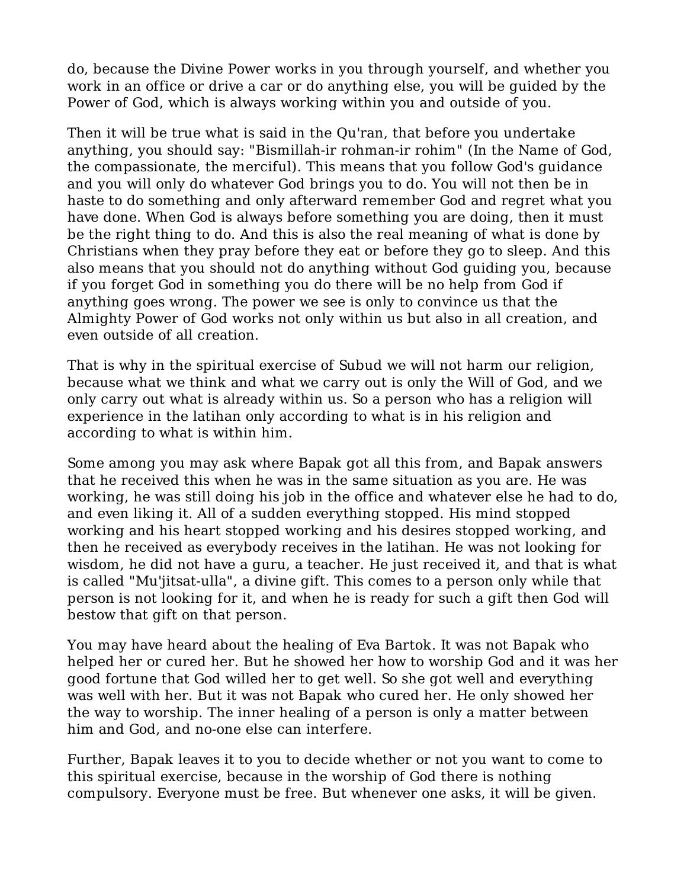do, because the Divine Power works in you through yourself, and whether you work in an office or drive a car or do anything else, you will be guided by the Power of God, which is always working within you and outside of you.

Then it will be true what is said in the Qu'ran, that before you undertake anything, you should say: "Bismillah-ir rohman-ir rohim" (In the Name of God, the compassionate, the merciful). This means that you follow God's guidance and you will only do whatever God brings you to do. You will not then be in haste to do something and only afterward remember God and regret what you have done. When God is always before something you are doing, then it must be the right thing to do. And this is also the real meaning of what is done by Christians when they pray before they eat or before they go to sleep. And this also means that you should not do anything without God guiding you, because if you forget God in something you do there will be no help from God if anything goes wrong. The power we see is only to convince us that the Almighty Power of God works not only within us but also in all creation, and even outside of all creation.

That is why in the spiritual exercise of Subud we will not harm our religion, because what we think and what we carry out is only the Will of God, and we only carry out what is already within us. So a person who has a religion will experience in the latihan only according to what is in his religion and according to what is within him.

Some among you may ask where Bapak got all this from, and Bapak answers that he received this when he was in the same situation as you are. He was working, he was still doing his job in the office and whatever else he had to do, and even liking it. All of a sudden everything stopped. His mind stopped working and his heart stopped working and his desires stopped working, and then he received as everybody receives in the latihan. He was not looking for wisdom, he did not have a guru, a teacher. He just received it, and that is what is called "Mu'jitsat-ulla", a divine gift. This comes to a person only while that person is not looking for it, and when he is ready for such a gift then God will bestow that gift on that person.

You may have heard about the healing of Eva Bartok. It was not Bapak who helped her or cured her. But he showed her how to worship God and it was her good fortune that God willed her to get well. So she got well and everything was well with her. But it was not Bapak who cured her. He only showed her the way to worship. The inner healing of a person is only a matter between him and God, and no-one else can interfere.

Further, Bapak leaves it to you to decide whether or not you want to come to this spiritual exercise, because in the worship of God there is nothing compulsory. Everyone must be free. But whenever one asks, it will be given.